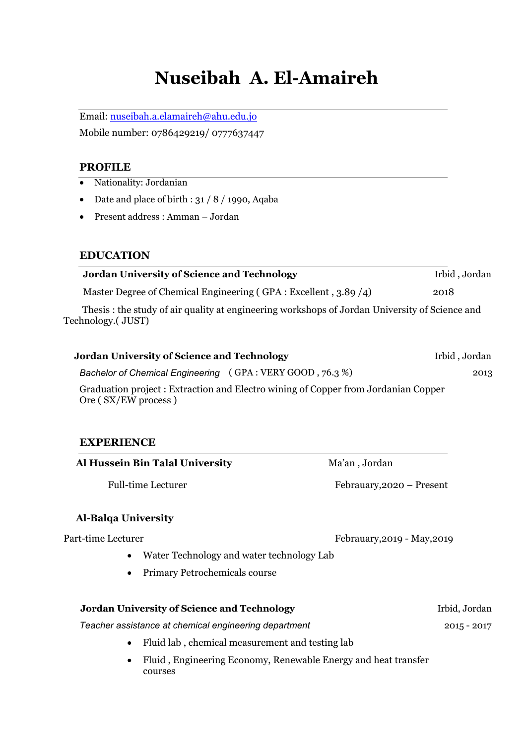# **Nuseibah A. El-Amaireh**

Email: nuseibah.a.elamaireh@ahu.edu.jo

Mobile number: 0786429219/ 0777637447

#### **PROFILE**

- Nationality: Jordanian
- Date and place of birth :  $31 / 8 / 1990$ , Aqaba
- Present address : Amman Jordan

#### **EDUCATION**

| <b>Jordan University of Science and Technology</b>                                                                 | Irbid, Jordan |  |
|--------------------------------------------------------------------------------------------------------------------|---------------|--|
| Master Degree of Chemical Engineering (GPA : Excellent, 3.89/4)                                                    | 2018          |  |
| Thesis: the study of air quality at engineering workshops of Jordan University of Science and<br>Technology.(JUST) |               |  |
| <b>Jordan University of Science and Technology</b>                                                                 | Irbid, Jordan |  |
| Bachelor of Chemical Engineering (GPA: VERY GOOD, 76.3%)                                                           | 2013          |  |

Graduation project : Extraction and Electro wining of Copper from Jordanian Copper Ore ( SX/EW process )

## **EXPERIENCE**

| Al Hussein Bin Talal University                       | Ma'an, Jordan               |
|-------------------------------------------------------|-----------------------------|
| <b>Full-time Lecturer</b>                             | Febrauary, 2020 – Present   |
| <b>Al-Balga University</b>                            |                             |
| Part-time Lecturer                                    | Febrauary, 2019 - May, 2019 |
| Water Technology and water technology Lab             |                             |
| <b>Primary Petrochemicals course</b><br>$\bullet$     |                             |
| <b>Jordan University of Science and Technology</b>    | Irbid, Jordan               |
| Teacher assistance at chemical engineering department | $2015 - 2017$               |

- Fluid lab , chemical measurement and testing lab
- Fluid , Engineering Economy, Renewable Energy and heat transfer courses